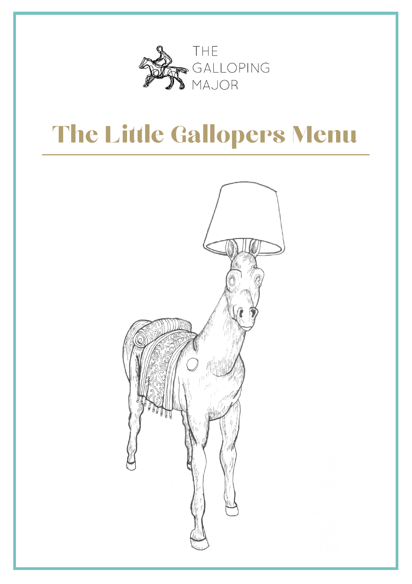

## **The Little Gallopers Menu**